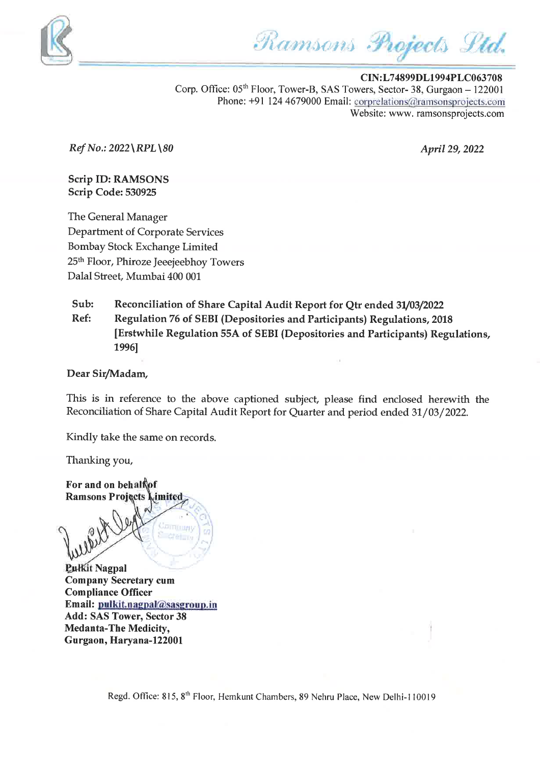

Ramsons Projects Ltd.

CIN:L74899DL1994PLC063708 Corp. Office:  $05<sup>th</sup>$  Floor, Tower-B, SAS Towers, Sector-38, Gurgaon - 122001 Phone: +91 124 4679000 Email: corprelations@ramsonsprojects.com Website: www. ramsonsprojects.com

 $Ref No.: 2022 \ RPL \ 80$  April 29, 2022

Scrip ID: RAMSONS Scrip Code: <sup>530925</sup>

The General Manager Department of Corporate Services Bombay Stock Exchange Limited 25<sup>th</sup> Floor, Phiroze Jeeejeebhoy Towers Dalal Street, Mumbai 400 <sup>001</sup>

Sub: Reconciliation of Share Capital Audit Report for Qtr ended 31/03/2022 Ref: Regulation <sup>76</sup> of SEBI (Depositories and Participants) Regulations, <sup>2018</sup> [Erstwhile Regulation 55A of SEBI (Depositories and Participants) Regulations, 1996]

## Dear Sir/Madam,

This is in reference to the above captioned subject, please find enclosed herewith the Reconciliation of Share Capital Audit Report for Quarter and period ended 31/03/2022.

Kindly take the same on records.

Thanking you,

For and on behalf of **Ramsons Projects** imited

**Pulkit Nagpal** Com pany Secretary cum **Compliance Officer** Email: pulkit.nagpal@sasgroup.in Add: SAS Tower, Sector <sup>38</sup> Medanta-The Medicity, Gurgaon, Haryana-122001

<u>जाता ता</u>स

Regd. Office: 815, 8" Floor, Hemkunt Chambers, <sup>89</sup> Nehru Place, New Delhi-110019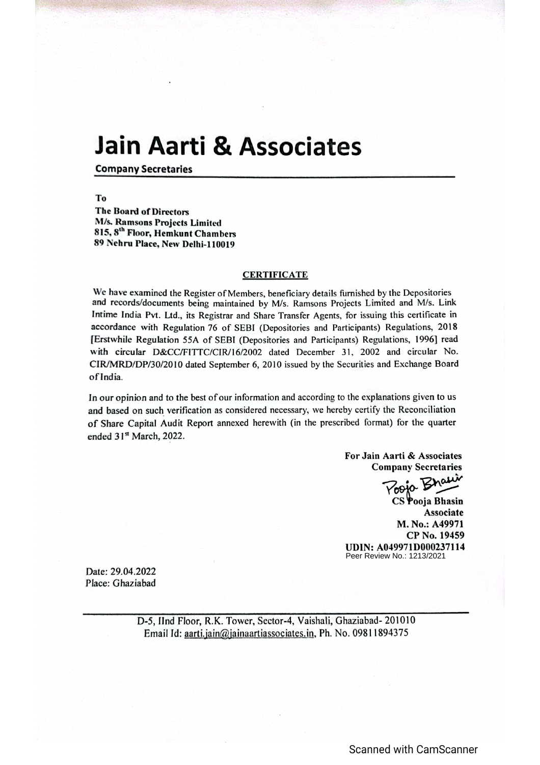## Jain Aarti & Associates

Company Secretaries

To The Board of Directors M/s. Ramsons Projects Limited 815, 8™ Floor, Hemkunt Chambers 89 Nehru Place, New Delhi-110019

## **CERTIFICATE**

We have examined the Register of Members, beneficiary details furnished by the Depositories and records/documents being maintained by M/s. Ramsons Projects Limited and M/s. Link Intime India Pvt. Ltd., its Registrar and Share Transfer Agents, for issuing this certificate in accordance with Regulation 76 of SEBI (Depositories and Participants) Regulations, 2018 [Erstwhile Regulation 55A of SEBI (Depositories and Participants) Regulations, 1996] read with circular D&CC/FITTC/CIR/16/2002 dated December 31, 2002 and circular No. CIR/MRD/DP/30/2010 dated September 6, 2010 issued by the Securities and Exchange Board ofIndia.

In our opinion and to the best of our information and according to the explanations given to us and based on such verification as considered necessary, we hereby certify the Reconciliation of Share Capital Audit Report annexed herewith (in the prescribed format) for the quarter ended 31\* March, 2022.

> For Jain Aarti & Associates Company Secretaries

°. Dhaw "Yoo

Peer Review No.: 1213/2021 CS Pooja Bhasin Associate M. No.: A49971 CP No. 19459 UDIN: A049971D000237114

Date: 29.04.2022 Place: Ghaziabad

> D-5, IInd Floor, R.K. Tower, Sector-4, Vaishali, Ghaziabad- 201010 Email Id: aarti.jain@jainaartiassociates.in, Ph. No. 09811894375

> > Scanned with CamScanner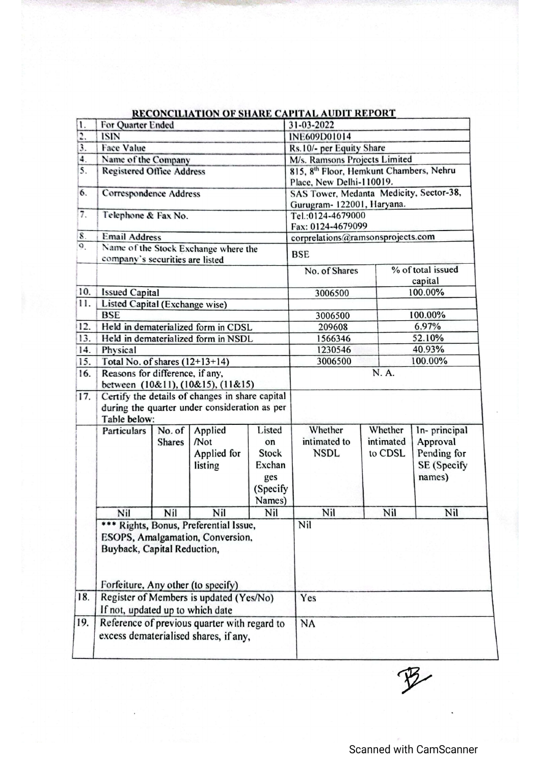|                  |                                                                                                                                                 |                                                                         |                                          |                                                                       | <u>RECONCILIATION OF SHARE CAPITAL AUDIT REPORT</u> |                                 |                                                                  |  |
|------------------|-------------------------------------------------------------------------------------------------------------------------------------------------|-------------------------------------------------------------------------|------------------------------------------|-----------------------------------------------------------------------|-----------------------------------------------------|---------------------------------|------------------------------------------------------------------|--|
| 1.               | For Quarter Ended                                                                                                                               |                                                                         |                                          | 31-03-2022                                                            |                                                     |                                 |                                                                  |  |
| 2,               | <b>ISIN</b>                                                                                                                                     |                                                                         |                                          |                                                                       | INE609D01014                                        |                                 |                                                                  |  |
| 3.               | <b>Face Value</b>                                                                                                                               |                                                                         |                                          | Rs.10/- per Equity Share                                              |                                                     |                                 |                                                                  |  |
| 4.               | Name of the Company                                                                                                                             |                                                                         |                                          | M/s. Ramsons Projects Limited                                         |                                                     |                                 |                                                                  |  |
| 5.               | <b>Registered Office Address</b>                                                                                                                |                                                                         |                                          | 815, 8th Floor, Hemkunt Chambers, Nehru<br>Place, New Delhi-110019.   |                                                     |                                 |                                                                  |  |
| 6.               | Correspondence Address                                                                                                                          |                                                                         |                                          | SAS Tower, Medanta Medicity, Sector-38,<br>Gurugram- 122001, Haryana. |                                                     |                                 |                                                                  |  |
| $\overline{7}$ . | Telephone & Fax No.                                                                                                                             |                                                                         |                                          | Tel.:0124-4679000<br>Fax: 0124-4679099                                |                                                     |                                 |                                                                  |  |
| 8.               | <b>Email Address</b>                                                                                                                            |                                                                         |                                          |                                                                       | corprelations@ramsonsprojects.com                   |                                 |                                                                  |  |
| $\overline{Q}$   |                                                                                                                                                 | Name of the Stock Exchange where the<br>company's securities are listed |                                          | <b>BSE</b>                                                            |                                                     |                                 |                                                                  |  |
|                  |                                                                                                                                                 |                                                                         |                                          |                                                                       | No. of Shares                                       |                                 | % of total issued<br>capital                                     |  |
| 10.              | <b>Issued Capital</b>                                                                                                                           |                                                                         |                                          |                                                                       | 3006500                                             |                                 | 100.00%                                                          |  |
| 11.              | Listed Capital (Exchange wise)                                                                                                                  |                                                                         |                                          |                                                                       |                                                     |                                 |                                                                  |  |
|                  | <b>BSE</b>                                                                                                                                      |                                                                         |                                          |                                                                       | 3006500                                             |                                 | 100.00%                                                          |  |
| 12.              |                                                                                                                                                 |                                                                         | Held in dematerialized form in CDSL      |                                                                       | 209608                                              |                                 | 6.97%                                                            |  |
| 13.              | Held in dematerialized form in NSDL                                                                                                             |                                                                         |                                          | 1566346                                                               | 52.10%                                              |                                 |                                                                  |  |
| 14.              | Physical                                                                                                                                        |                                                                         |                                          | 1230546                                                               | 40.93%                                              |                                 |                                                                  |  |
| 15.              | Total No. of shares $(12+13+14)$                                                                                                                |                                                                         | 3006500                                  |                                                                       | 100.00%                                             |                                 |                                                                  |  |
| 16.              | Reasons for difference, if any,<br>between (10&11), (10&15), (11&15)                                                                            |                                                                         |                                          | N. A.                                                                 |                                                     |                                 |                                                                  |  |
| 17.              | Certify the details of changes in share capital<br>during the quarter under consideration as per<br>Table below:                                |                                                                         |                                          |                                                                       |                                                     |                                 |                                                                  |  |
|                  | Particulars                                                                                                                                     | No. of<br><b>Shares</b>                                                 | Applied<br>Not<br>Applied for<br>listing | Listed<br>on<br>Stock<br>Exchan<br>ges<br>(Specify<br>Names)          | Whether<br>intimated to<br><b>NSDL</b>              | Whether<br>intimated<br>to CDSL | In-principal<br>Approval<br>Pending for<br>SE (Specify<br>names) |  |
|                  | Nil                                                                                                                                             | Nil                                                                     | Nil                                      | Nil                                                                   | Nil                                                 | Nil                             | Nil                                                              |  |
|                  | *** Rights, Bonus, Preferential Issue,<br>ESOPS, Amalgamation, Conversion,<br>Buyback, Capital Reduction,<br>Forfeiture, Any other (to specify) |                                                                         |                                          |                                                                       | Nil                                                 |                                 |                                                                  |  |
| 18.              | Register of Members is updated (Yes/No)                                                                                                         |                                                                         |                                          |                                                                       | Yes                                                 |                                 |                                                                  |  |
|                  |                                                                                                                                                 | If not, updated up to which date                                        |                                          |                                                                       |                                                     |                                 |                                                                  |  |
| 19.              | Reference of previous quarter with regard to<br>excess dematerialised shares, if any,                                                           |                                                                         |                                          | <b>NA</b>                                                             |                                                     |                                 |                                                                  |  |

## CONCILIATION OF SHARE CAPITAL AUDIT REPORT

 $\mathcal{P}$